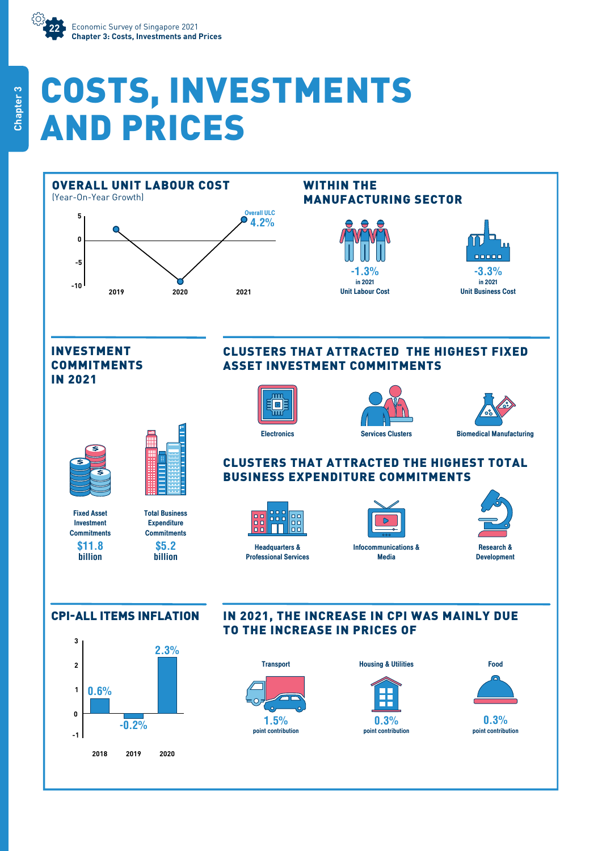

# COSTS, INVESTMENTS AND PRICES



**2018 2019 2020**

**-0.2%**

**-1**

**0**







**0.3%** point contribution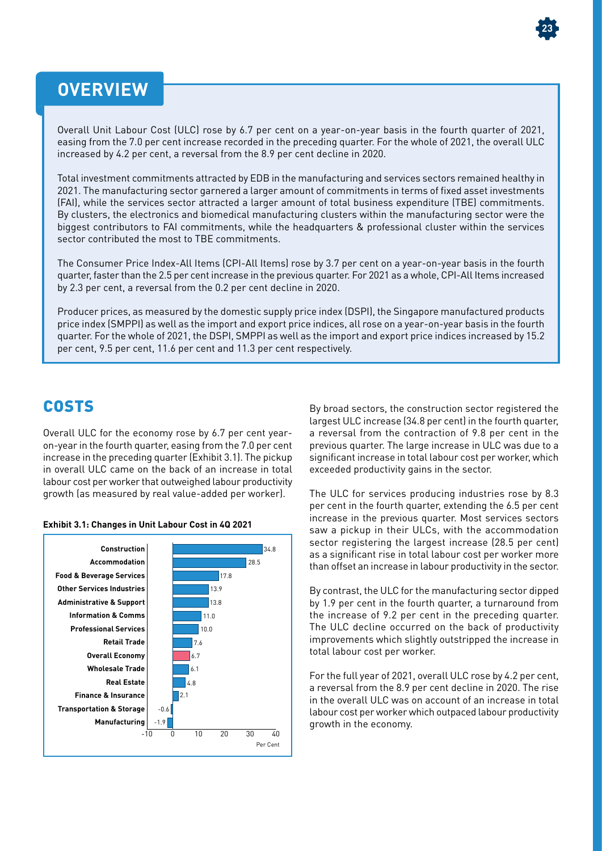## **23**

### **OVERVIEW**

Overall Unit Labour Cost (ULC) rose by 6.7 per cent on a year-on-year basis in the fourth quarter of 2021, easing from the 7.0 per cent increase recorded in the preceding quarter. For the whole of 2021, the overall ULC increased by 4.2 per cent, a reversal from the 8.9 per cent decline in 2020.

Total investment commitments attracted by EDB in the manufacturing and services sectors remained healthy in 2021. The manufacturing sector garnered a larger amount of commitments in terms of fixed asset investments (FAI), while the services sector attracted a larger amount of total business expenditure (TBE) commitments. By clusters, the electronics and biomedical manufacturing clusters within the manufacturing sector were the biggest contributors to FAI commitments, while the headquarters & professional cluster within the services sector contributed the most to TBE commitments.

The Consumer Price Index-All Items (CPI-All Items) rose by 3.7 per cent on a year-on-year basis in the fourth quarter, faster than the 2.5 per cent increase in the previous quarter. For 2021 as a whole, CPI-All Items increased by 2.3 per cent, a reversal from the 0.2 per cent decline in 2020.

Producer prices, as measured by the domestic supply price index (DSPI), the Singapore manufactured products price index (SMPPI) as well as the import and export price indices, all rose on a year-on-year basis in the fourth quarter. For the whole of 2021, the DSPI, SMPPI as well as the import and export price indices increased by 15.2 per cent, 9.5 per cent, 11.6 per cent and 11.3 per cent respectively.

#### COSTS

Overall ULC for the economy rose by 6.7 per cent yearon-year in the fourth quarter, easing from the 7.0 per cent increase in the preceding quarter (Exhibit 3.1). The pickup in overall ULC came on the back of an increase in total labour cost per worker that outweighed labour productivity growth (as measured by real value-added per worker).

#### **Exhibit 3.1: Changes in Unit Labour Cost in 4Q 2021**



By broad sectors, the construction sector registered the largest ULC increase (34.8 per cent) in the fourth quarter, a reversal from the contraction of 9.8 per cent in the previous quarter. The large increase in ULC was due to a significant increase in total labour cost per worker, which exceeded productivity gains in the sector.

The ULC for services producing industries rose by 8.3 per cent in the fourth quarter, extending the 6.5 per cent increase in the previous quarter. Most services sectors saw a pickup in their ULCs, with the accommodation sector registering the largest increase (28.5 per cent) as a significant rise in total labour cost per worker more than offset an increase in labour productivity in the sector.

By contrast, the ULC for the manufacturing sector dipped by 1.9 per cent in the fourth quarter, a turnaround from the increase of 9.2 per cent in the preceding quarter. The ULC decline occurred on the back of productivity improvements which slightly outstripped the increase in total labour cost per worker.

For the full year of 2021, overall ULC rose by 4.2 per cent, a reversal from the 8.9 per cent decline in 2020. The rise in the overall ULC was on account of an increase in total labour cost per worker which outpaced labour productivity growth in the economy.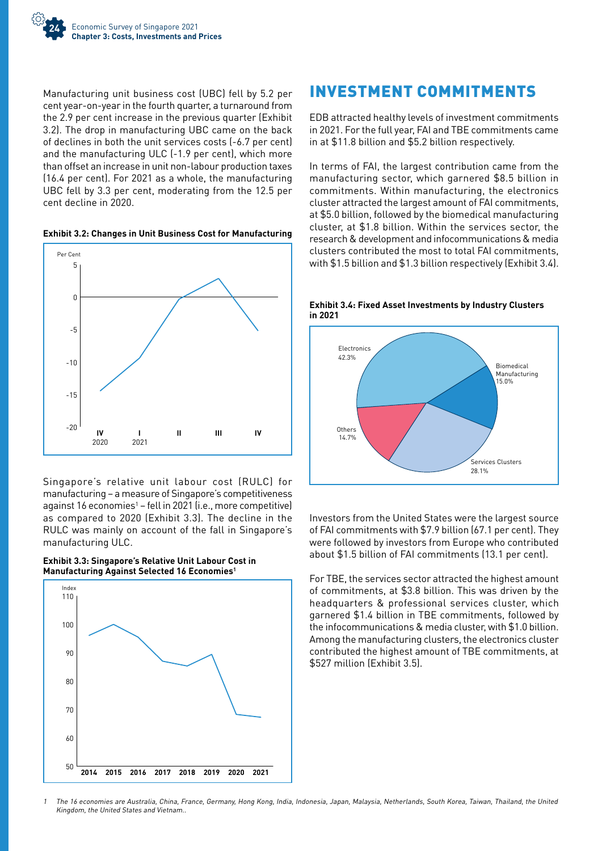

Manufacturing unit business cost (UBC) fell by 5.2 per cent year-on-year in the fourth quarter, a turnaround from the 2.9 per cent increase in the previous quarter (Exhibit 3.2). The drop in manufacturing UBC came on the back of declines in both the unit services costs (-6.7 per cent) and the manufacturing ULC (-1.9 per cent), which more than offset an increase in unit non-labour production taxes (16.4 per cent). For 2021 as a whole, the manufacturing UBC fell by 3.3 per cent, moderating from the 12.5 per cent decline in 2020.





Singapore's relative unit labour cost (RULC) for manufacturing – a measure of Singapore's competitiveness against 16 economies<sup>1</sup> – fell in 2021 (i.e., more competitive) as compared to 2020 (Exhibit 3.3). The decline in the RULC was mainly on account of the fall in Singapore's manufacturing ULC.





#### INVESTMENT COMMITMENTS

EDB attracted healthy levels of investment commitments in 2021. For the full year, FAI and TBE commitments came in at \$11.8 billion and \$5.2 billion respectively.

In terms of FAI, the largest contribution came from the manufacturing sector, which garnered \$8.5 billion in commitments. Within manufacturing, the electronics cluster attracted the largest amount of FAI commitments, at \$5.0 billion, followed by the biomedical manufacturing cluster, at \$1.8 billion. Within the services sector, the research & development and infocommunications & media clusters contributed the most to total FAI commitments, with \$1.5 billion and \$1.3 billion respectively (Exhibit 3.4).





Investors from the United States were the largest source of FAI commitments with \$7.9 billion (67.1 per cent). They were followed by investors from Europe who contributed about \$1.5 billion of FAI commitments (13.1 per cent).

For TBE, the services sector attracted the highest amount of commitments, at \$3.8 billion. This was driven by the headquarters & professional services cluster, which garnered \$1.4 billion in TBE commitments, followed by the infocommunications & media cluster, with \$1.0 billion. Among the manufacturing clusters, the electronics cluster contributed the highest amount of TBE commitments, at \$527 million (Exhibit 3.5).

<sup>1</sup> The 16 economies are Australia, China, France, Germany, Hong Kong, India, Indonesia, Japan, Malaysia, Netherlands, South Korea, Taiwan, Thailand, the United Kingdom, the United States and Vietnam..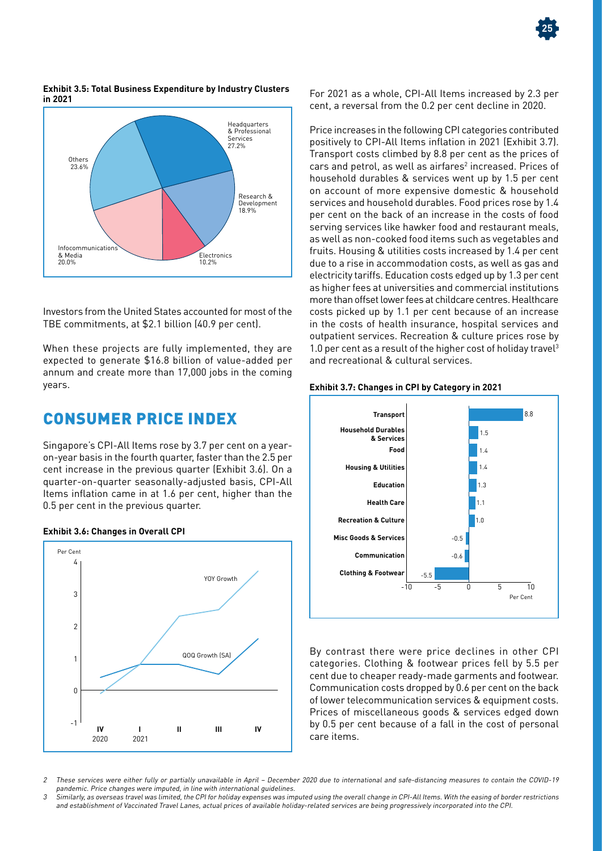



## **Exhibit 3.5: Total Business Expenditure by Industry Clusters**

Investors from the United States accounted for most of the TBE commitments, at \$2.1 billion (40.9 per cent).

When these projects are fully implemented, they are expected to generate \$16.8 billion of value-added per annum and create more than 17,000 jobs in the coming years.

#### CONSUMER PRICE INDEX

Singapore's CPI-All Items rose by 3.7 per cent on a yearon-year basis in the fourth quarter, faster than the 2.5 per cent increase in the previous quarter (Exhibit 3.6). On a quarter-on-quarter seasonally-adjusted basis, CPI-All Items inflation came in at 1.6 per cent, higher than the 0.5 per cent in the previous quarter.





**in 2021** For 2021 as a whole, CPI-All Items increased by 2.3 per cent, a reversal from the 0.2 per cent decline in 2020.

Price increases in the following CPI categories contributed positively to CPI-All Items inflation in 2021 (Exhibit 3.7). Transport costs climbed by 8.8 per cent as the prices of cars and petrol, as well as airfares<sup>2</sup> increased. Prices of household durables & services went up by 1.5 per cent on account of more expensive domestic & household services and household durables. Food prices rose by 1.4 per cent on the back of an increase in the costs of food serving services like hawker food and restaurant meals, as well as non-cooked food items such as vegetables and fruits. Housing & utilities costs increased by 1.4 per cent due to a rise in accommodation costs, as well as gas and electricity tariffs. Education costs edged up by 1.3 per cent as higher fees at universities and commercial institutions more than offset lower fees at childcare centres. Healthcare costs picked up by 1.1 per cent because of an increase in the costs of health insurance, hospital services and outpatient services. Recreation & culture prices rose by 1.0 per cent as a result of the higher cost of holiday travel<sup>3</sup> and recreational & cultural services.





By contrast there were price declines in other CPI categories. Clothing & footwear prices fell by 5.5 per cent due to cheaper ready-made garments and footwear. Communication costs dropped by 0.6 per cent on the back of lower telecommunication services & equipment costs. Prices of miscellaneous goods & services edged down by 0.5 per cent because of a fall in the cost of personal care items.

<sup>2</sup> These services were either fully or partially unavailable in April – December 2020 due to international and safe-distancing measures to contain the COVID-19 pandemic. Price changes were imputed, in line with international guidelines.

<sup>3</sup> Similarly, as overseas travel was limited, the CPI for holiday expenses was imputed using the overall change in CPI-All Items. With the easing of border restrictions and establishment of Vaccinated Travel Lanes, actual prices of available holiday-related services are being progressively incorporated into the CPI.